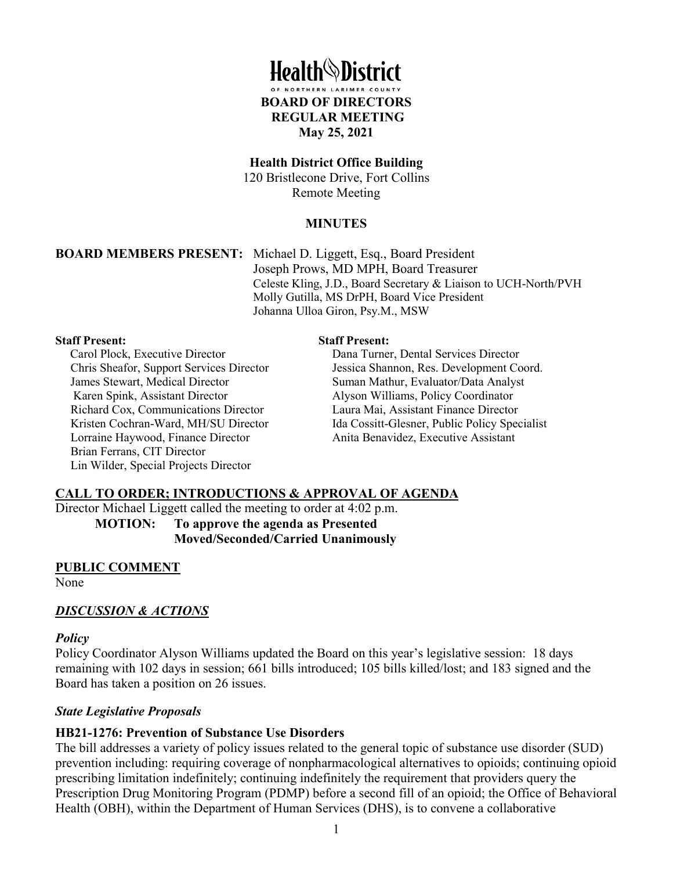

#### **Health District Office Building**

120 Bristlecone Drive, Fort Collins Remote Meeting

#### **MINUTES**

**BOARD MEMBERS PRESENT:** Michael D. Liggett, Esq., Board President Joseph Prows, MD MPH, Board Treasurer Celeste Kling, J.D., Board Secretary & Liaison to UCH-North/PVH Molly Gutilla, MS DrPH, Board Vice President Johanna Ulloa Giron, Psy.M., MSW

#### **Staff Present:**

Carol Plock, Executive Director Chris Sheafor, Support Services Director James Stewart, Medical Director Karen Spink, Assistant Director Richard Cox, Communications Director Kristen Cochran-Ward, MH/SU Director Lorraine Haywood, Finance Director Brian Ferrans, CIT Director Lin Wilder, Special Projects Director

#### **Staff Present:**

Dana Turner, Dental Services Director Jessica Shannon, Res. Development Coord. Suman Mathur, Evaluator/Data Analyst Alyson Williams, Policy Coordinator Laura Mai, Assistant Finance Director Ida Cossitt-Glesner, Public Policy Specialist Anita Benavidez, Executive Assistant

#### **CALL TO ORDER; INTRODUCTIONS & APPROVAL OF AGENDA**

Director Michael Liggett called the meeting to order at 4:02 p.m. **MOTION: To approve the agenda as Presented**

**Moved/Seconded/Carried Unanimously**

#### **PUBLIC COMMENT**

None

#### *DISCUSSION & ACTIONS*

#### *Policy*

Policy Coordinator Alyson Williams updated the Board on this year's legislative session: 18 days remaining with 102 days in session; 661 bills introduced; 105 bills killed/lost; and 183 signed and the Board has taken a position on 26 issues.

#### *State Legislative Proposals*

#### **HB21-1276: Prevention of Substance Use Disorders**

The bill addresses a variety of policy issues related to the general topic of substance use disorder (SUD) prevention including: requiring coverage of nonpharmacological alternatives to opioids; continuing opioid prescribing limitation indefinitely; continuing indefinitely the requirement that providers query the Prescription Drug Monitoring Program (PDMP) before a second fill of an opioid; the Office of Behavioral Health (OBH), within the Department of Human Services (DHS), is to convene a collaborative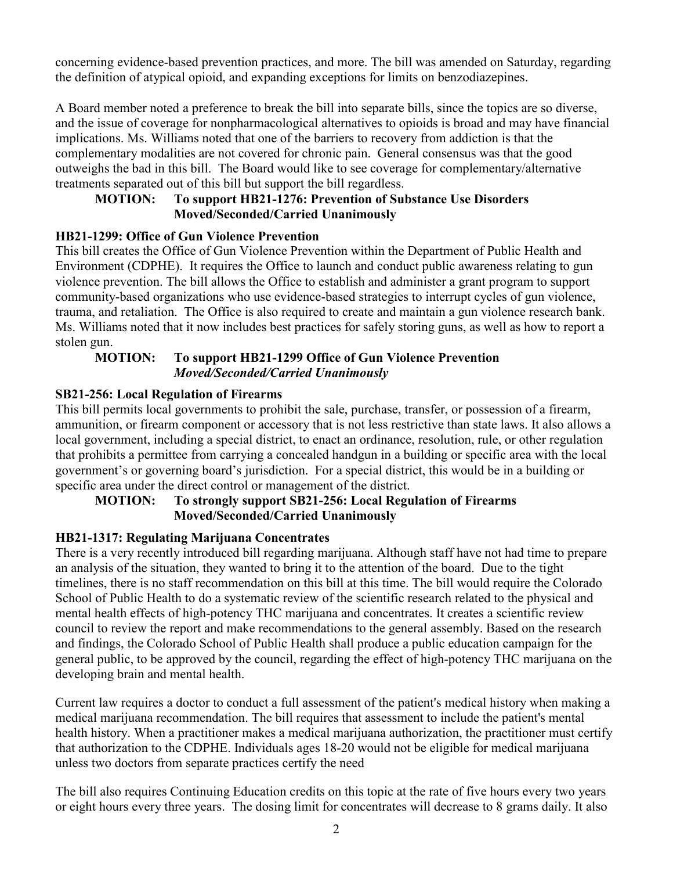concerning evidence-based prevention practices, and more. The bill was amended on Saturday, regarding the definition of atypical opioid, and expanding exceptions for limits on benzodiazepines.

A Board member noted a preference to break the bill into separate bills, since the topics are so diverse, and the issue of coverage for nonpharmacological alternatives to opioids is broad and may have financial implications. Ms. Williams noted that one of the barriers to recovery from addiction is that the complementary modalities are not covered for chronic pain. General consensus was that the good outweighs the bad in this bill. The Board would like to see coverage for complementary/alternative treatments separated out of this bill but support the bill regardless.

# **MOTION: To support HB21-1276: Prevention of Substance Use Disorders Moved/Seconded/Carried Unanimously**

# **HB21-1299: Office of Gun Violence Prevention**

This bill creates the Office of Gun Violence Prevention within the Department of Public Health and Environment (CDPHE). It requires the Office to launch and conduct public awareness relating to gun violence prevention. The bill allows the Office to establish and administer a grant program to support community-based organizations who use evidence-based strategies to interrupt cycles of gun violence, trauma, and retaliation. The Office is also required to create and maintain a gun violence research bank. Ms. Williams noted that it now includes best practices for safely storing guns, as well as how to report a stolen gun.

## **MOTION: To support HB21-1299 Office of Gun Violence Prevention**  *Moved/Seconded/Carried Unanimously*

# **SB21-256: Local Regulation of Firearms**

This bill permits local governments to prohibit the sale, purchase, transfer, or possession of a firearm, ammunition, or firearm component or accessory that is not less restrictive than state laws. It also allows a local government, including a special district, to enact an ordinance, resolution, rule, or other regulation that prohibits a permittee from carrying a concealed handgun in a building or specific area with the local government's or governing board's jurisdiction. For a special district, this would be in a building or specific area under the direct control or management of the district.

# **MOTION: To strongly support SB21-256: Local Regulation of Firearms Moved/Seconded/Carried Unanimously**

# **HB21-1317: Regulating Marijuana Concentrates**

There is a very recently introduced bill regarding marijuana. Although staff have not had time to prepare an analysis of the situation, they wanted to bring it to the attention of the board. Due to the tight timelines, there is no staff recommendation on this bill at this time. The bill would require the Colorado School of Public Health to do a systematic review of the scientific research related to the physical and mental health effects of high-potency THC marijuana and concentrates. It creates a scientific review council to review the report and make recommendations to the general assembly. Based on the research and findings, the Colorado School of Public Health shall produce a public education campaign for the general public, to be approved by the council, regarding the effect of high-potency THC marijuana on the developing brain and mental health.

Current law requires a doctor to conduct a full assessment of the patient's medical history when making a medical marijuana recommendation. The bill requires that assessment to include the patient's mental health history. When a practitioner makes a medical marijuana authorization, the practitioner must certify that authorization to the CDPHE. Individuals ages 18-20 would not be eligible for medical marijuana unless two doctors from separate practices certify the need

The bill also requires Continuing Education credits on this topic at the rate of five hours every two years or eight hours every three years. The dosing limit for concentrates will decrease to 8 grams daily. It also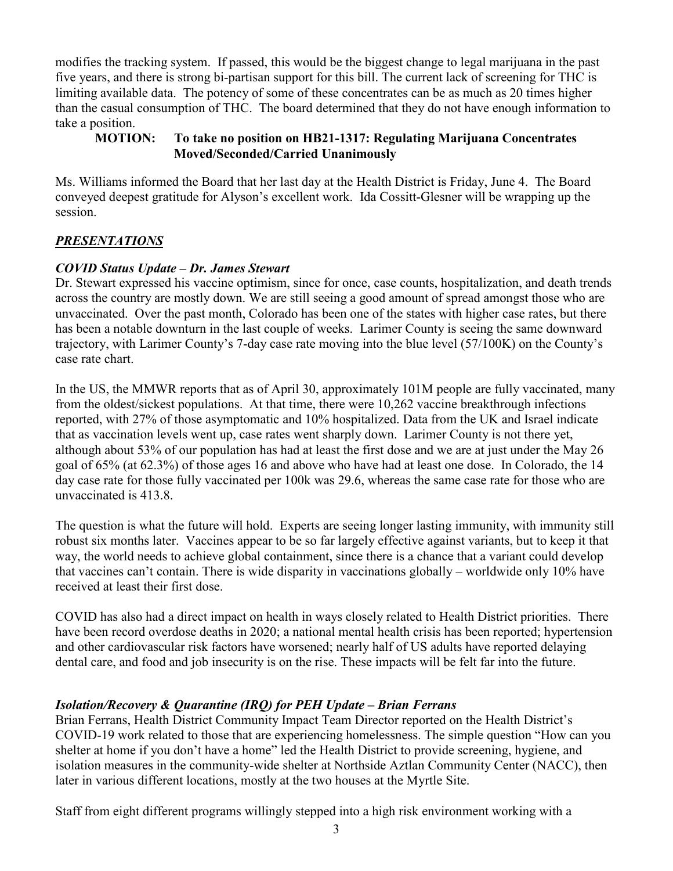modifies the tracking system. If passed, this would be the biggest change to legal marijuana in the past five years, and there is strong bi-partisan support for this bill. The current lack of screening for THC is limiting available data. The potency of some of these concentrates can be as much as 20 times higher than the casual consumption of THC. The board determined that they do not have enough information to take a position.

# **MOTION: To take no position on HB21-1317: Regulating Marijuana Concentrates Moved/Seconded/Carried Unanimously**

Ms. Williams informed the Board that her last day at the Health District is Friday, June 4. The Board conveyed deepest gratitude for Alyson's excellent work. Ida Cossitt-Glesner will be wrapping up the session.

# *PRESENTATIONS*

# *COVID Status Update – Dr. James Stewart*

Dr. Stewart expressed his vaccine optimism, since for once, case counts, hospitalization, and death trends across the country are mostly down. We are still seeing a good amount of spread amongst those who are unvaccinated. Over the past month, Colorado has been one of the states with higher case rates, but there has been a notable downturn in the last couple of weeks. Larimer County is seeing the same downward trajectory, with Larimer County's 7-day case rate moving into the blue level (57/100K) on the County's case rate chart.

In the US, the MMWR reports that as of April 30, approximately 101M people are fully vaccinated, many from the oldest/sickest populations. At that time, there were 10,262 vaccine breakthrough infections reported, with 27% of those asymptomatic and 10% hospitalized. Data from the UK and Israel indicate that as vaccination levels went up, case rates went sharply down. Larimer County is not there yet, although about 53% of our population has had at least the first dose and we are at just under the May 26 goal of 65% (at 62.3%) of those ages 16 and above who have had at least one dose. In Colorado, the 14 day case rate for those fully vaccinated per 100k was 29.6, whereas the same case rate for those who are unvaccinated is 413.8.

The question is what the future will hold. Experts are seeing longer lasting immunity, with immunity still robust six months later. Vaccines appear to be so far largely effective against variants, but to keep it that way, the world needs to achieve global containment, since there is a chance that a variant could develop that vaccines can't contain. There is wide disparity in vaccinations globally – worldwide only 10% have received at least their first dose.

COVID has also had a direct impact on health in ways closely related to Health District priorities. There have been record overdose deaths in 2020; a national mental health crisis has been reported; hypertension and other cardiovascular risk factors have worsened; nearly half of US adults have reported delaying dental care, and food and job insecurity is on the rise. These impacts will be felt far into the future.

# *Isolation/Recovery & Quarantine (IRQ) for PEH Update – Brian Ferrans*

Brian Ferrans, Health District Community Impact Team Director reported on the Health District's COVID-19 work related to those that are experiencing homelessness. The simple question "How can you shelter at home if you don't have a home" led the Health District to provide screening, hygiene, and isolation measures in the community-wide shelter at Northside Aztlan Community Center (NACC), then later in various different locations, mostly at the two houses at the Myrtle Site.

Staff from eight different programs willingly stepped into a high risk environment working with a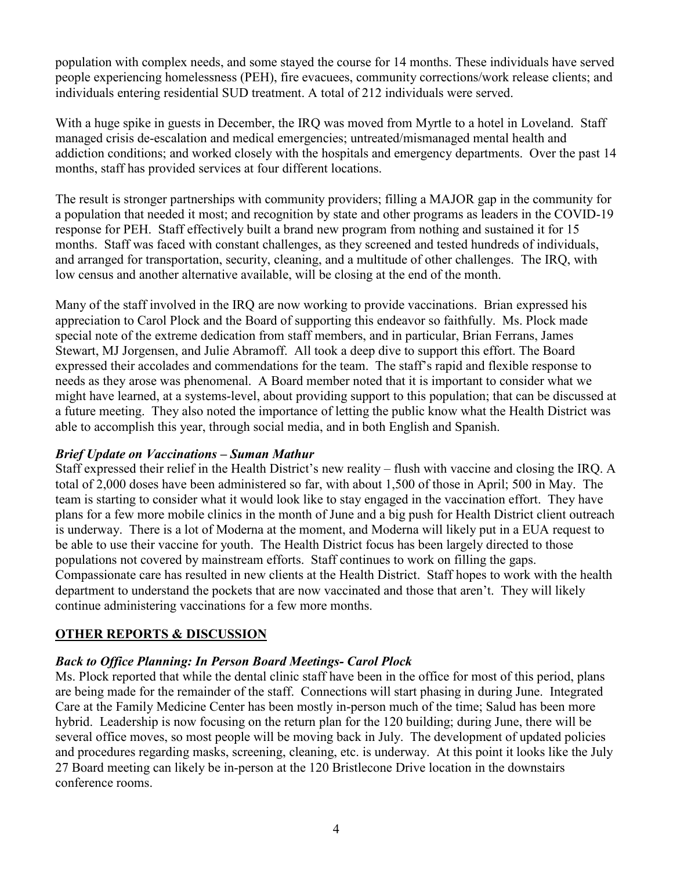population with complex needs, and some stayed the course for 14 months. These individuals have served people experiencing homelessness (PEH), fire evacuees, community corrections/work release clients; and individuals entering residential SUD treatment. A total of 212 individuals were served.

With a huge spike in guests in December, the IRO was moved from Myrtle to a hotel in Loveland. Staff managed crisis de-escalation and medical emergencies; untreated/mismanaged mental health and addiction conditions; and worked closely with the hospitals and emergency departments. Over the past 14 months, staff has provided services at four different locations.

The result is stronger partnerships with community providers; filling a MAJOR gap in the community for a population that needed it most; and recognition by state and other programs as leaders in the COVID-19 response for PEH. Staff effectively built a brand new program from nothing and sustained it for 15 months. Staff was faced with constant challenges, as they screened and tested hundreds of individuals, and arranged for transportation, security, cleaning, and a multitude of other challenges. The IRQ, with low census and another alternative available, will be closing at the end of the month.

Many of the staff involved in the IRQ are now working to provide vaccinations. Brian expressed his appreciation to Carol Plock and the Board of supporting this endeavor so faithfully. Ms. Plock made special note of the extreme dedication from staff members, and in particular, Brian Ferrans, James Stewart, MJ Jorgensen, and Julie Abramoff. All took a deep dive to support this effort. The Board expressed their accolades and commendations for the team. The staff's rapid and flexible response to needs as they arose was phenomenal. A Board member noted that it is important to consider what we might have learned, at a systems-level, about providing support to this population; that can be discussed at a future meeting. They also noted the importance of letting the public know what the Health District was able to accomplish this year, through social media, and in both English and Spanish.

# *Brief Update on Vaccinations – Suman Mathur*

Staff expressed their relief in the Health District's new reality – flush with vaccine and closing the IRQ. A total of 2,000 doses have been administered so far, with about 1,500 of those in April; 500 in May. The team is starting to consider what it would look like to stay engaged in the vaccination effort. They have plans for a few more mobile clinics in the month of June and a big push for Health District client outreach is underway. There is a lot of Moderna at the moment, and Moderna will likely put in a EUA request to be able to use their vaccine for youth. The Health District focus has been largely directed to those populations not covered by mainstream efforts. Staff continues to work on filling the gaps. Compassionate care has resulted in new clients at the Health District. Staff hopes to work with the health department to understand the pockets that are now vaccinated and those that aren't. They will likely continue administering vaccinations for a few more months.

# **OTHER REPORTS & DISCUSSION**

# *Back to Office Planning: In Person Board Meetings- Carol Plock*

Ms. Plock reported that while the dental clinic staff have been in the office for most of this period, plans are being made for the remainder of the staff. Connections will start phasing in during June. Integrated Care at the Family Medicine Center has been mostly in-person much of the time; Salud has been more hybrid. Leadership is now focusing on the return plan for the 120 building; during June, there will be several office moves, so most people will be moving back in July. The development of updated policies and procedures regarding masks, screening, cleaning, etc. is underway. At this point it looks like the July 27 Board meeting can likely be in-person at the 120 Bristlecone Drive location in the downstairs conference rooms.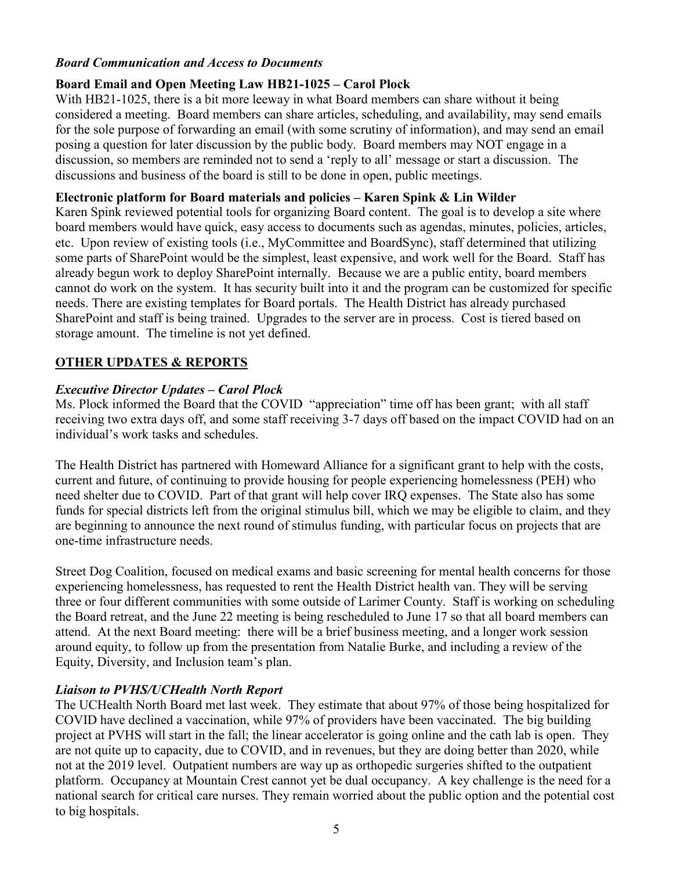## *Board Communication and Access to Documents*

## **Board Email and Open Meeting Law HB21-1025 – Carol Plock**

With HB21-1025, there is a bit more leeway in what Board members can share without it being considered a meeting. Board members can share articles, scheduling, and availability, may send emails for the sole purpose of forwarding an email (with some scrutiny of information), and may send an email posing a question for later discussion by the public body. Board members may NOT engage in a discussion, so members are reminded not to send a 'reply to all' message or start a discussion. The discussions and business of the board is still to be done in open, public meetings.

## **Electronic platform for Board materials and policies – Karen Spink & Lin Wilder**

Karen Spink reviewed potential tools for organizing Board content. The goal is to develop a site where board members would have quick, easy access to documents such as agendas, minutes, policies, articles, etc. Upon review of existing tools (i.e., MyCommittee and BoardSync), staff determined that utilizing some parts of SharePoint would be the simplest, least expensive, and work well for the Board. Staff has already begun work to deploy SharePoint internally. Because we are a public entity, board members cannot do work on the system. It has security built into it and the program can be customized for specific needs. There are existing templates for Board portals. The Health District has already purchased SharePoint and staff is being trained. Upgrades to the server are in process. Cost is tiered based on storage amount. The timeline is not yet defined.

## **OTHER UPDATES & REPORTS**

## *Executive Director Updates – Carol Plock*

Ms. Plock informed the Board that the COVID "appreciation" time off has been grant; with all staff receiving two extra days off, and some staff receiving 3-7 days off based on the impact COVID had on an individual's work tasks and schedules.

The Health District has partnered with Homeward Alliance for a significant grant to help with the costs, current and future, of continuing to provide housing for people experiencing homelessness (PEH) who need shelter due to COVID. Part of that grant will help cover IRQ expenses. The State also has some funds for special districts left from the original stimulus bill, which we may be eligible to claim, and they are beginning to announce the next round of stimulus funding, with particular focus on projects that are one-time infrastructure needs.

Street Dog Coalition, focused on medical exams and basic screening for mental health concerns for those experiencing homelessness, has requested to rent the Health District health van. They will be serving three or four different communities with some outside of Larimer County. Staff is working on scheduling the Board retreat, and the June 22 meeting is being rescheduled to June 17 so that all board members can attend. At the next Board meeting: there will be a brief business meeting, and a longer work session around equity, to follow up from the presentation from Natalie Burke, and including a review of the Equity, Diversity, and Inclusion team's plan.

#### *Liaison to PVHS/UCHealth North Report*

The UCHealth North Board met last week. They estimate that about 97% of those being hospitalized for COVID have declined a vaccination, while 97% of providers have been vaccinated. The big building project at PVHS will start in the fall; the linear accelerator is going online and the cath lab is open. They are not quite up to capacity, due to COVID, and in revenues, but they are doing better than 2020, while not at the 2019 level. Outpatient numbers are way up as orthopedic surgeries shifted to the outpatient platform. Occupancy at Mountain Crest cannot yet be dual occupancy. A key challenge is the need for a national search for critical care nurses. They remain worried about the public option and the potential cost to big hospitals.